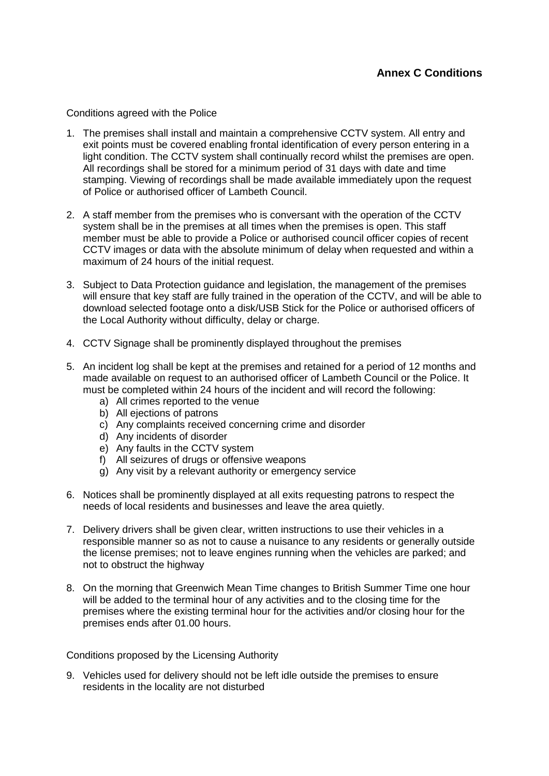## **Annex C Conditions**

Conditions agreed with the Police

- 1. The premises shall install and maintain a comprehensive CCTV system. All entry and exit points must be covered enabling frontal identification of every person entering in a light condition. The CCTV system shall continually record whilst the premises are open. All recordings shall be stored for a minimum period of 31 days with date and time stamping. Viewing of recordings shall be made available immediately upon the request of Police or authorised officer of Lambeth Council.
- 2. A staff member from the premises who is conversant with the operation of the CCTV system shall be in the premises at all times when the premises is open. This staff member must be able to provide a Police or authorised council officer copies of recent CCTV images or data with the absolute minimum of delay when requested and within a maximum of 24 hours of the initial request.
- 3. Subject to Data Protection guidance and legislation, the management of the premises will ensure that key staff are fully trained in the operation of the CCTV, and will be able to download selected footage onto a disk/USB Stick for the Police or authorised officers of the Local Authority without difficulty, delay or charge.
- 4. CCTV Signage shall be prominently displayed throughout the premises
- 5. An incident log shall be kept at the premises and retained for a period of 12 months and made available on request to an authorised officer of Lambeth Council or the Police. It must be completed within 24 hours of the incident and will record the following:
	- a) All crimes reported to the venue
	- b) All ejections of patrons
	- c) Any complaints received concerning crime and disorder
	- d) Any incidents of disorder
	- e) Any faults in the CCTV system
	- f) All seizures of drugs or offensive weapons
	- g) Any visit by a relevant authority or emergency service
- 6. Notices shall be prominently displayed at all exits requesting patrons to respect the needs of local residents and businesses and leave the area quietly.
- 7. Delivery drivers shall be given clear, written instructions to use their vehicles in a responsible manner so as not to cause a nuisance to any residents or generally outside the license premises; not to leave engines running when the vehicles are parked; and not to obstruct the highway
- 8. On the morning that Greenwich Mean Time changes to British Summer Time one hour will be added to the terminal hour of any activities and to the closing time for the premises where the existing terminal hour for the activities and/or closing hour for the premises ends after 01.00 hours.

Conditions proposed by the Licensing Authority

9. Vehicles used for delivery should not be left idle outside the premises to ensure residents in the locality are not disturbed